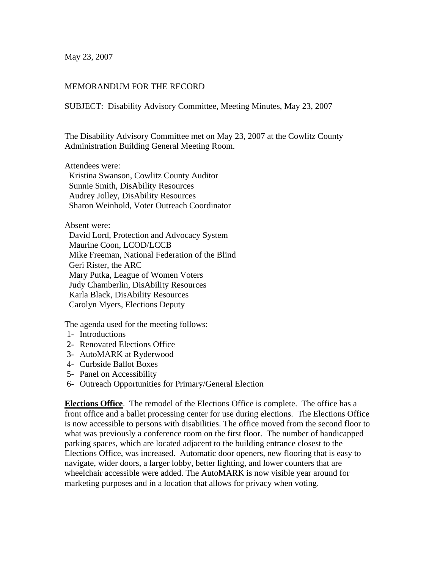May 23, 2007

## MEMORANDUM FOR THE RECORD

SUBJECT: Disability Advisory Committee, Meeting Minutes, May 23, 2007

The Disability Advisory Committee met on May 23, 2007 at the Cowlitz County Administration Building General Meeting Room.

Attendees were:

 Kristina Swanson, Cowlitz County Auditor Sunnie Smith, DisAbility Resources Audrey Jolley, DisAbility Resources Sharon Weinhold, Voter Outreach Coordinator

Absent were:

 David Lord, Protection and Advocacy System Maurine Coon, LCOD/LCCB Mike Freeman, National Federation of the Blind Geri Rister, the ARC Mary Putka, League of Women Voters Judy Chamberlin, DisAbility Resources Karla Black, DisAbility Resources Carolyn Myers, Elections Deputy

The agenda used for the meeting follows:

- 1- Introductions
- 2- Renovated Elections Office
- 3- AutoMARK at Ryderwood
- 4- Curbside Ballot Boxes
- 5- Panel on Accessibility
- 6- Outreach Opportunities for Primary/General Election

**Elections Office**. The remodel of the Elections Office is complete. The office has a front office and a ballet processing center for use during elections. The Elections Office is now accessible to persons with disabilities. The office moved from the second floor to what was previously a conference room on the first floor. The number of handicapped parking spaces, which are located adjacent to the building entrance closest to the Elections Office, was increased. Automatic door openers, new flooring that is easy to navigate, wider doors, a larger lobby, better lighting, and lower counters that are wheelchair accessible were added. The AutoMARK is now visible year around for marketing purposes and in a location that allows for privacy when voting.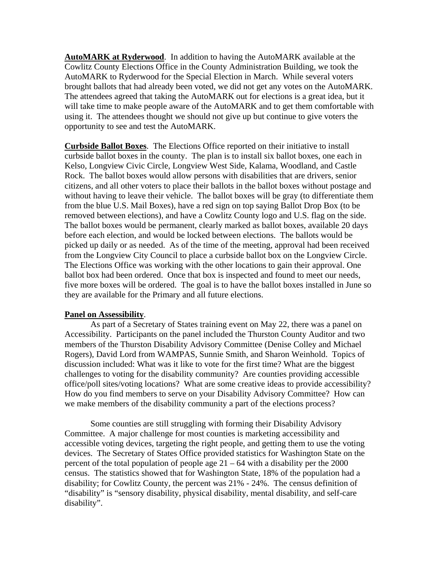**AutoMARK at Ryderwood**. In addition to having the AutoMARK available at the Cowlitz County Elections Office in the County Administration Building, we took the AutoMARK to Ryderwood for the Special Election in March. While several voters brought ballots that had already been voted, we did not get any votes on the AutoMARK. The attendees agreed that taking the AutoMARK out for elections is a great idea, but it will take time to make people aware of the AutoMARK and to get them comfortable with using it. The attendees thought we should not give up but continue to give voters the opportunity to see and test the AutoMARK.

**Curbside Ballot Boxes**. The Elections Office reported on their initiative to install curbside ballot boxes in the county. The plan is to install six ballot boxes, one each in Kelso, Longview Civic Circle, Longview West Side, Kalama, Woodland, and Castle Rock. The ballot boxes would allow persons with disabilities that are drivers, senior citizens, and all other voters to place their ballots in the ballot boxes without postage and without having to leave their vehicle. The ballot boxes will be gray (to differentiate them from the blue U.S. Mail Boxes), have a red sign on top saying Ballot Drop Box (to be removed between elections), and have a Cowlitz County logo and U.S. flag on the side. The ballot boxes would be permanent, clearly marked as ballot boxes, available 20 days before each election, and would be locked between elections. The ballots would be picked up daily or as needed. As of the time of the meeting, approval had been received from the Longview City Council to place a curbside ballot box on the Longview Circle. The Elections Office was working with the other locations to gain their approval. One ballot box had been ordered. Once that box is inspected and found to meet our needs, five more boxes will be ordered. The goal is to have the ballot boxes installed in June so they are available for the Primary and all future elections.

## **Panel on Assessibility**.

 As part of a Secretary of States training event on May 22, there was a panel on Accessibility. Participants on the panel included the Thurston County Auditor and two members of the Thurston Disability Advisory Committee (Denise Colley and Michael Rogers), David Lord from WAMPAS, Sunnie Smith, and Sharon Weinhold. Topics of discussion included: What was it like to vote for the first time? What are the biggest challenges to voting for the disability community? Are counties providing accessible office/poll sites/voting locations? What are some creative ideas to provide accessibility? How do you find members to serve on your Disability Advisory Committee? How can we make members of the disability community a part of the elections process?

 Some counties are still struggling with forming their Disability Advisory Committee. A major challenge for most counties is marketing accessibility and accessible voting devices, targeting the right people, and getting them to use the voting devices. The Secretary of States Office provided statistics for Washington State on the percent of the total population of people age  $21 - 64$  with a disability per the 2000 census. The statistics showed that for Washington State, 18% of the population had a disability; for Cowlitz County, the percent was 21% - 24%. The census definition of "disability" is "sensory disability, physical disability, mental disability, and self-care disability".